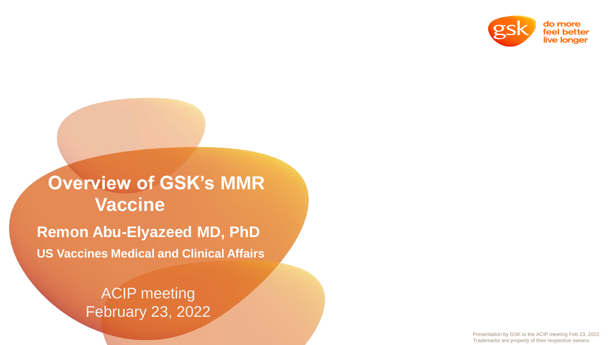

# **Overview of GSK's MMR Vaccine**

**Remon Abu-Elyazeed MD, PhD US Vaccines Medical and Clinical Affairs**

> ACIP meeting February 23, 2022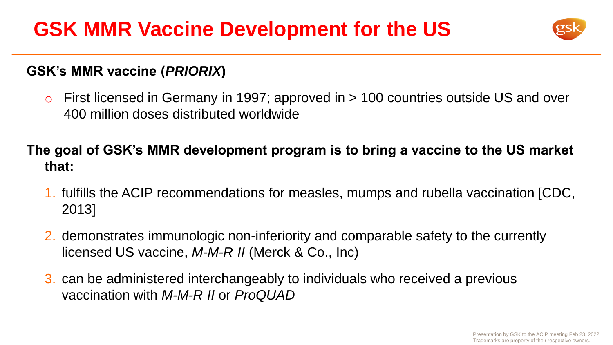

### **GSK's MMR vaccine (***PRIORIX***)**

 $\circ$  First licensed in Germany in 1997; approved in  $> 100$  countries outside US and over 400 million doses distributed worldwide

**The goal of GSK's MMR development program is to bring a vaccine to the US market that:**

- 1. fulfills the ACIP recommendations for measles, mumps and rubella vaccination [CDC, 2013]
- 2. demonstrates immunologic non-inferiority and comparable safety to the currently licensed US vaccine, *M-M-R II* (Merck & Co., Inc)
- 3. can be administered interchangeably to individuals who received a previous vaccination with *M-M-R II* or *ProQUAD*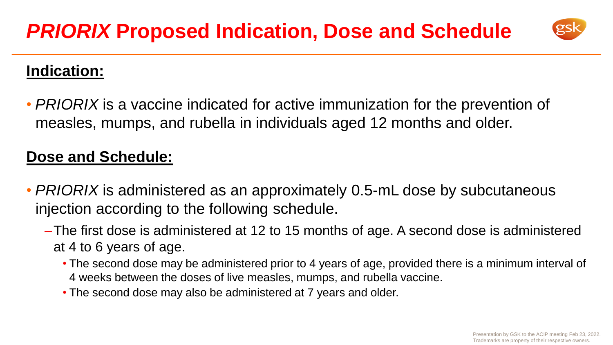

### **Indication:**

• *PRIORIX* is a vaccine indicated for active immunization for the prevention of measles, mumps, and rubella in individuals aged 12 months and older.

### **Dose and Schedule:**

- *PRIORIX* is administered as an approximately 0.5-mL dose by subcutaneous injection according to the following schedule.
	- –The first dose is administered at 12 to 15 months of age. A second dose is administered at 4 to 6 years of age.
		- The second dose may be administered prior to 4 years of age, provided there is a minimum interval of 4 weeks between the doses of live measles, mumps, and rubella vaccine.
		- The second dose may also be administered at 7 years and older.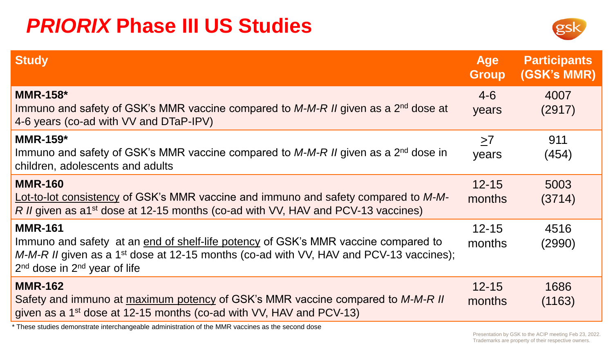## *PRIORIX* **Phase III US Studies**



| <b>Study</b>                                                                                                                                                                                                                                     | <b>Age</b><br><b>Group</b> | <b>Participants</b><br>(GSK's MMR) |
|--------------------------------------------------------------------------------------------------------------------------------------------------------------------------------------------------------------------------------------------------|----------------------------|------------------------------------|
| <b>MMR-158*</b><br>Immuno and safety of GSK's MMR vaccine compared to $M-M-R$ II given as a 2 <sup>nd</sup> dose at<br>4-6 years (co-ad with VV and DTaP-IPV)                                                                                    | $4-6$<br>years             | 4007<br>(2917)                     |
| MMR-159 $*$<br>Immuno and safety of GSK's MMR vaccine compared to $M-M-R$ II given as a 2 <sup>nd</sup> dose in<br>children, adolescents and adults                                                                                              | $\geq 7$<br>years          | 911<br>(454)                       |
| <b>MMR-160</b><br>Lot-to-lot consistency of GSK's MMR vaccine and immuno and safety compared to M-M-<br>R II given as a1 <sup>st</sup> dose at 12-15 months (co-ad with VV, HAV and PCV-13 vaccines)                                             | $12 - 15$<br>months        | 5003<br>(3714)                     |
| <b>MMR-161</b><br>Immuno and safety at an end of shelf-life potency of GSK's MMR vaccine compared to<br>$M-M-R$ II given as a 1 <sup>st</sup> dose at 12-15 months (co-ad with VV, HAV and PCV-13 vaccines);<br>$2nd$ dose in $2nd$ year of life | $12 - 15$<br>months        | 4516<br>(2990)                     |
| <b>MMR-162</b><br>Safety and immuno at maximum potency of GSK's MMR vaccine compared to M-M-R II<br>given as a 1 <sup>st</sup> dose at 12-15 months (co-ad with VV, HAV and PCV-13)                                                              | $12 - 15$<br>months        | 1686<br>(1163)                     |

\* These studies demonstrate interchangeable administration of the MMR vaccines as the second dose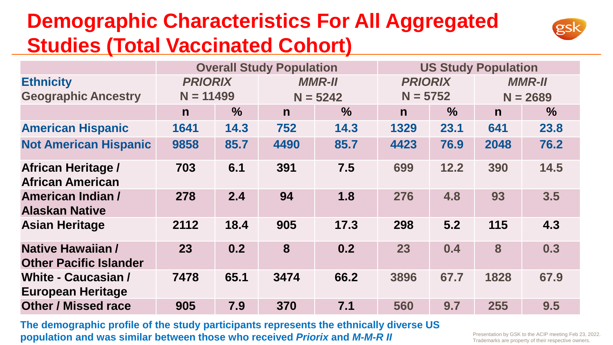## **Demographic Characteristics For All Aggregated Studies (Total Vaccinated Cohort)**



|                                                        | <b>Overall Study Population</b> |               |              |               |                | <b>US Study Population</b> |               |               |  |
|--------------------------------------------------------|---------------------------------|---------------|--------------|---------------|----------------|----------------------------|---------------|---------------|--|
| <b>Ethnicity</b>                                       | <b>PRIORIX</b>                  |               |              | <b>MMR-II</b> | <b>PRIORIX</b> |                            | <b>MMR-II</b> |               |  |
| <b>Geographic Ancestry</b>                             | $N = 11499$                     |               |              | $N = 5242$    | $N = 5752$     |                            | $N = 2689$    |               |  |
|                                                        | $\mathsf{n}$                    | $\frac{9}{6}$ | $\mathsf{n}$ | $\%$          | $\mathsf{n}$   | $\%$                       | $\mathsf{n}$  | $\frac{9}{6}$ |  |
| <b>American Hispanic</b>                               | 1641                            | 14.3          | 752          | 14.3          | 1329           | 23.1                       | 641           | 23.8          |  |
| <b>Not American Hispanic</b>                           | 9858                            | 85.7          | 4490         | 85.7          | 4423           | 76.9                       | 2048          | 76.2          |  |
| <b>African Heritage /</b><br><b>African American</b>   | 703                             | 6.1           | 391          | 7.5           | 699            | 12.2                       | 390           | 14.5          |  |
| American Indian /<br><b>Alaskan Native</b>             | 278                             | 2.4           | 94           | 1.8           | 276            | 4.8                        | 93            | 3.5           |  |
| <b>Asian Heritage</b>                                  | 2112                            | 18.4          | 905          | 17.3          | 298            | 5.2                        | 115           | 4.3           |  |
| Native Hawaiian /<br><b>Other Pacific Islander</b>     | 23                              | 0.2           | 8            | 0.2           | 23             | 0.4                        | 8             | 0.3           |  |
| <b>White - Caucasian /</b><br><b>European Heritage</b> | 7478                            | 65.1          | 3474         | 66.2          | 3896           | 67.7                       | 1828          | 67.9          |  |
| <b>Other / Missed race</b>                             | 905                             | 7.9           | 370          | 7.1           | 560            | 9.7                        | 255           | 9.5           |  |

**The demographic profile of the study participants represents the ethnically diverse US population and was similar between those who received** *Priorix* **and** *M-M-R II*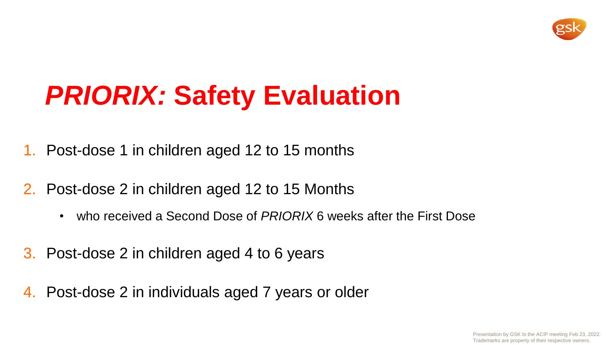

# *PRIORIX:* **Safety Evaluation**

- 1. Post-dose 1 in children aged 12 to 15 months
- 2. Post-dose 2 in children aged 12 to 15 Months
	- who received a Second Dose of *PRIORIX* 6 weeks after the First Dose
- 3. Post-dose 2 in children aged 4 to 6 years
- 4. Post-dose 2 in individuals aged 7 years or older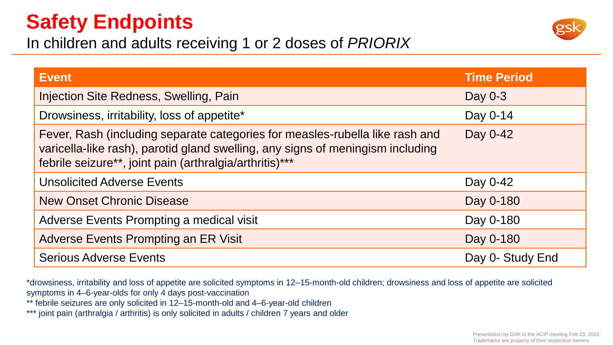## **Safety Endpoints**



In children and adults receiving 1 or 2 doses of *PRIORIX*

| <b>Event</b>                                                                                                                                                                                                              | <b>Time Period</b> |
|---------------------------------------------------------------------------------------------------------------------------------------------------------------------------------------------------------------------------|--------------------|
| Injection Site Redness, Swelling, Pain                                                                                                                                                                                    | Day $0-3$          |
| Drowsiness, irritability, loss of appetite*                                                                                                                                                                               | Day 0-14           |
| Fever, Rash (including separate categories for measles-rubella like rash and<br>varicella-like rash), parotid gland swelling, any signs of meningism including<br>febrile seizure**, joint pain (arthralgia/arthritis)*** | Day 0-42           |
| <b>Unsolicited Adverse Events</b>                                                                                                                                                                                         | Day 0-42           |
| <b>New Onset Chronic Disease</b>                                                                                                                                                                                          | Day 0-180          |
| Adverse Events Prompting a medical visit                                                                                                                                                                                  | Day 0-180          |
| Adverse Events Prompting an ER Visit                                                                                                                                                                                      | Day 0-180          |
| <b>Serious Adverse Events</b>                                                                                                                                                                                             | Day 0- Study End   |

\*drowsiness, irritability and loss of appetite are solicited symptoms in 12–15-month-old children; drowsiness and loss of appetite are solicited symptoms in 4–6-year-olds for only 4 days post-vaccination

\*\* febrile seizures are only solicited in 12–15-month-old and 4–6-year-old children

\*\*\* joint pain (arthralgia / arthritis) is only solicited in adults / children 7 years and older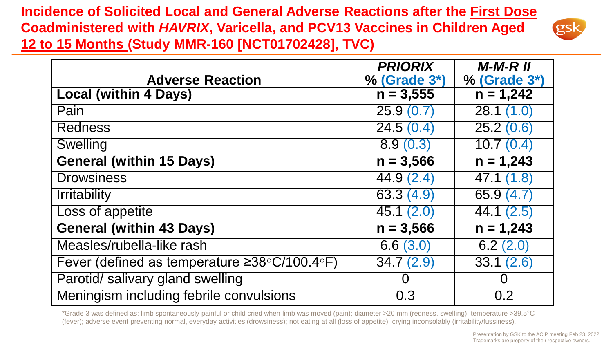**Incidence of Solicited Local and General Adverse Reactions after the First Dose Coadministered with** *HAVRIX***, Varicella, and PCV13 Vaccines in Children Aged 12 to 15 Months (Study MMR-160 [NCT01702428], TVC)**



|                                                                   | <b>PRIORIX</b>         | $M-M-R$ $II$            |
|-------------------------------------------------------------------|------------------------|-------------------------|
| <b>Adverse Reaction</b>                                           | % (Grade 3*)           | % (Grade 3*)            |
| <b>Local (within 4 Days)</b>                                      | $n = 3,555$            | $n = 1,242$             |
| Pain                                                              | 25.9(0.7)              | 28.1(1.0)               |
| <b>Redness</b>                                                    | 24.5(0.4)              | 25.2(0.6)               |
| <b>Swelling</b>                                                   | 8.9(0.3)               | 10.7(0.4)               |
| <b>General (within 15 Days)</b>                                   | $n = 3,566$            | $n = 1,243$             |
| <b>Drowsiness</b>                                                 | 44.9(2.4)              | $\overline{47.1}$ (1.8) |
| <b>Irritability</b>                                               | 63.3(4.9)              | 65.9 (4.7)              |
| Loss of appetite                                                  | 45.1(2.0)              | 44.1(2.5)               |
| <b>General (within 43 Days)</b>                                   | $n = 3,566$            | $n = 1,243$             |
| Measles/rubella-like rash                                         | $\overline{6.6}$ (3.0) | 6.2(2.0)                |
| Fever (defined as temperature $\geq 38^{\circ}C/100.4^{\circ}F$ ) | 34.7(2.9)              | 33.1(2.6)               |
| Parotid/ salivary gland swelling                                  |                        | Ō                       |
| Meningism including febrile convulsions                           | 0.3                    | 0.2                     |

\*Grade 3 was defined as: limb spontaneously painful or child cried when limb was moved (pain); diameter >20 mm (redness, swelling); temperature >39.5°C (fever); adverse event preventing normal, everyday activities (drowsiness); not eating at all (loss of appetite); crying inconsolably (irritability/fussiness).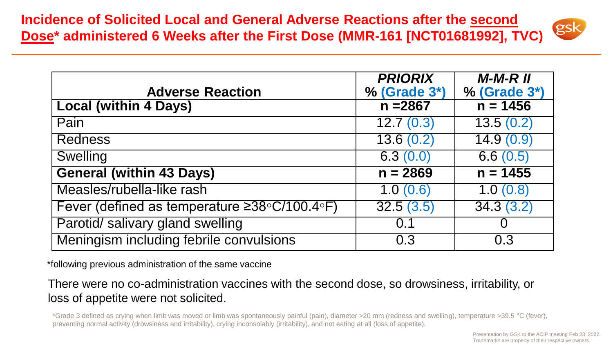**Incidence of Solicited Local and General Adverse Reactions after the second Dose\* administered 6 Weeks after the First Dose (MMR-161 [NCT01681992], TVC)**



| <b>Adverse Reaction</b>                                           | <b>PRIORIX</b><br>$%$ (Grade $3*)$   | $M-M-R$ $II$<br>$%$ (Grade $3*)$ |
|-------------------------------------------------------------------|--------------------------------------|----------------------------------|
| <b>Local (within 4 Days)</b>                                      | $n = 2867$                           | $n = 1456$                       |
| Pain                                                              | $\overline{12.7}$ (0.3)              | 13.5(0.2)                        |
| <b>Redness</b>                                                    | $\overline{13.6(0.2)}$               | 14.9(0.9)                        |
| <b>Swelling</b>                                                   | 6.3(0.0)                             | 6.6(0.5)                         |
| <b>General (within 43 Days)</b>                                   | $n = 2869$                           | $n = 1455$                       |
| Measles/rubella-like rash                                         | 1.0(0.6)                             | 1.0(0.8)                         |
| Fever (defined as temperature $\geq 38^{\circ}C/100.4^{\circ}F$ ) | $\overline{32.5}$ $\overline{(3.5)}$ | 34.3(3.2)                        |
| Parotid/ salivary gland swelling                                  | 0.1                                  | U                                |
| Meningism including febrile convulsions                           | 0.3                                  | 0.3                              |

\*following previous administration of the same vaccine

There were no co-administration vaccines with the second dose, so drowsiness, irritability, or loss of appetite were not solicited.

\*Grade 3 defined as crying when limb was moved or limb was spontaneously painful (pain), diameter >20 mm (redness and swelling), temperature >39.5 °C (fever), preventing normal activity (drowsiness and irritability), crying inconsolably (irritability), and not eating at all (loss of appetite).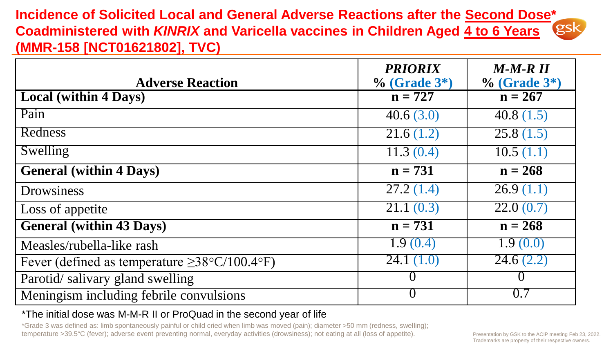**Incidence of Solicited Local and General Adverse Reactions after the Second Dose\* Coadministered with** *KINRIX* **and Varicella vaccines in Children Aged 4 to 6 Years (MMR-158 [NCT01621802], TVC)**

| <b>Adverse Reaction</b>                            | <b>PRIORIX</b><br>$%$ (Grade $3*)$ | $M-M-R$ $II$<br>$%$ (Grade $3*)$ |
|----------------------------------------------------|------------------------------------|----------------------------------|
| <b>Local (within 4 Days)</b>                       | $n = 727$                          | $n = 267$                        |
| Pain                                               | 40.6(3.0)                          | 40.8 $(1.5)$                     |
| Redness                                            | $\overline{2}1.6(1.2)$             | 25.8(1.5)                        |
| Swelling                                           | $\overline{11.3} (0.4)$            | 10.5(1.1)                        |
| <b>General (within 4 Days)</b>                     | $n = 731$                          | $n = 268$                        |
| <b>Drowsiness</b>                                  | 27.2(1.4)                          | 26.9(1.1)                        |
| Loss of appetite                                   | 21.1(0.3)                          | 22.0(0.7)                        |
| <b>General (within 43 Days)</b>                    | $n = 731$                          | $n = 268$                        |
| Measles/rubella-like rash                          | 1.9(0.4)                           | T.9(0.0)                         |
| Fever (defined as temperature $\geq$ 38°C/100.4°F) | 24.1 $(1.0)$                       | 24.6(2.2)                        |
| Parotid/salivary gland swelling                    |                                    |                                  |
| Meningism including febrile convulsions            |                                    | 0.7                              |

\*The initial dose was M-M-R II or ProQuad in the second year of life

\*Grade 3 was defined as: limb spontaneously painful or child cried when limb was moved (pain); diameter >50 mm (redness, swelling); temperature >39.5°C (fever); adverse event preventing normal, everyday activities (drowsiness); not eating at all (loss of appetite). Presentation by GSK to the ACIP meeting Feb 23, 2022.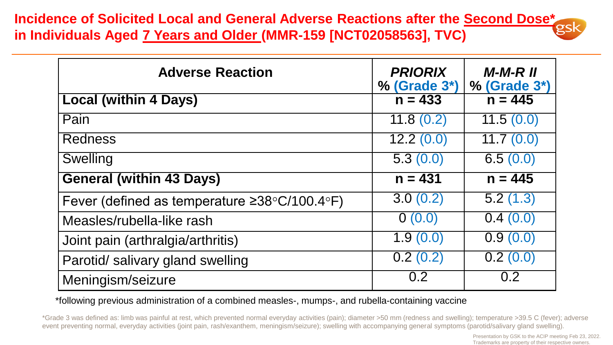**Incidence of Solicited Local and General Adverse Reactions after the Second Dose\* in Individuals Aged 7 Years and Older (MMR-159 [NCT02058563], TVC)**

| <b>Adverse Reaction</b>                                           | <b>PRIORIX</b><br>$%$ (Grade $3*)$ | $M-M-R$ $II$<br>$%$ (Grade $3*)$ |
|-------------------------------------------------------------------|------------------------------------|----------------------------------|
| <b>Local (within 4 Days)</b>                                      | $n = 433$                          | $n = 445$                        |
| Pain                                                              | 11.8(0.2)                          | 11.5(0.0)                        |
| <b>Redness</b>                                                    | $\overline{12.2(0.0)}$             | $\overline{11.7}$ (0.0)          |
| <b>Swelling</b>                                                   | $\overline{5.3}$ $(0.0)$           | 6.5(0.0)                         |
| <b>General (within 43 Days)</b>                                   | $n = 431$                          | $n = 445$                        |
| Fever (defined as temperature $\geq 38^{\circ}C/100.4^{\circ}F$ ) | 3.0(0.2)                           | 5.2(1.3)                         |
| Measles/rubella-like rash                                         | 0(0.0)                             | 0.4(0.0)                         |
| Joint pain (arthralgia/arthritis)                                 | 1.9(0.0)                           | 0.9(0.0)                         |
| Parotid/ salivary gland swelling                                  | $\overline{0.2}$ (0.2)             | $\overline{0.2}$ (0.0)           |
| Meningism/seizure                                                 | 0.2                                | 0.2                              |

\*following previous administration of a combined measles-, mumps-, and rubella-containing vaccine

\*Grade 3 was defined as: limb was painful at rest, which prevented normal everyday activities (pain); diameter >50 mm (redness and swelling); temperature >39.5 C (fever); adverse event preventing normal, everyday activities (joint pain, rash/exanthem, meningism/seizure); swelling with accompanying general symptoms (parotid/salivary gland swelling).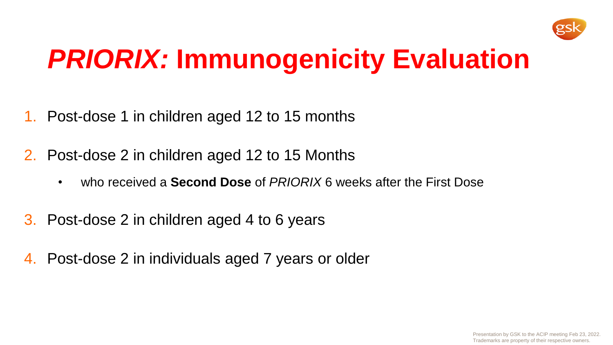

# *PRIORIX:* **Immunogenicity Evaluation**

- 1. Post-dose 1 in children aged 12 to 15 months
- 2. Post-dose 2 in children aged 12 to 15 Months
	- who received a **Second Dose** of *PRIORIX* 6 weeks after the First Dose
- 3. Post-dose 2 in children aged 4 to 6 years
- 4. Post-dose 2 in individuals aged 7 years or older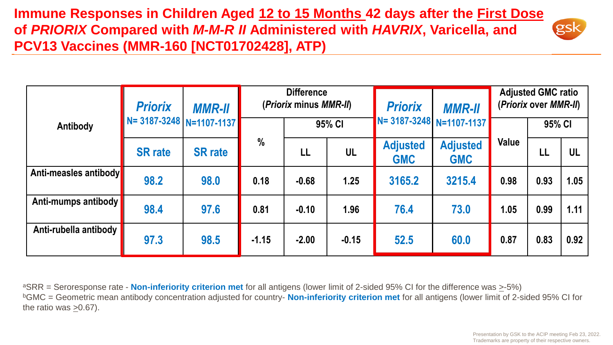**Immune Responses in Children Aged 12 to 15 Months 42 days after the First Dose of** *PRIORIX* **Compared with** *M-M-R II* **Administered with** *HAVRIX***, Varicella, and PCV13 Vaccines (MMR-160 [NCT01702428], ATP)** 

|                       | <b>Priorix</b><br><b>MMR-II</b> |                | <b>Difference</b><br>(Priorix minus MMR-II) |         |         | <b>Priorix</b>                | <b>MMR-II</b>                 | <b>Adjusted GMC ratio</b><br>(Priorix over MMR-II) |        |      |
|-----------------------|---------------------------------|----------------|---------------------------------------------|---------|---------|-------------------------------|-------------------------------|----------------------------------------------------|--------|------|
| Antibody              | N= 3187-3248   N=1107-1137      |                |                                             | 95% CI  |         |                               | N= 3187-3248 N=1107-1137      |                                                    | 95% CI |      |
|                       | <b>SR</b> rate                  | <b>SR</b> rate | $\frac{0}{0}$                               | LL      | UL      | <b>Adjusted</b><br><b>GMC</b> | <b>Adjusted</b><br><b>GMC</b> | Value                                              | LL     | UL   |
| Anti-measles antibody | 98.2                            | 98.0           | 0.18                                        | $-0.68$ | 1.25    | 3165.2                        | 3215.4                        | 0.98                                               | 0.93   | 1.05 |
| Anti-mumps antibody   | 98.4                            | 97.6           | 0.81                                        | $-0.10$ | 1.96    | 76.4                          | 73.0                          | 1.05                                               | 0.99   | 1.11 |
| Anti-rubella antibody | 97.3                            | 98.5           | $-1.15$                                     | $-2.00$ | $-0.15$ | 52.5                          | 60.0                          | 0.87                                               | 0.83   | 0.92 |

<sup>a</sup>SRR = Seroresponse rate - **Non-inferiority criterion met** for all antigens (lower limit of 2-sided 95% CI for the difference was >-5%) <sup>b</sup>GMC = Geometric mean antibody concentration adjusted for country- **Non-inferiority criterion met** for all antigens (lower limit of 2-sided 95% CI for the ratio was >0.67).

**gsk**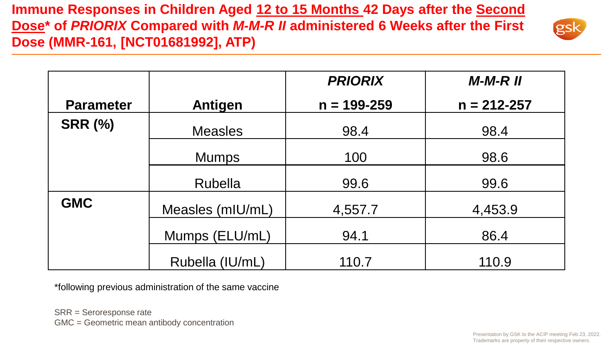**Immune Responses in Children Aged 12 to 15 Months 42 Days after the Second Dose\* of** *PRIORIX* **Compared with** *M-M-R II* **administered 6 Weeks after the First Dose (MMR-161, [NCT01681992], ATP)** 



|                  |                  | <b>PRIORIX</b>  | $M-M-R$ $II$    |
|------------------|------------------|-----------------|-----------------|
| <b>Parameter</b> | <b>Antigen</b>   | $n = 199 - 259$ | $n = 212 - 257$ |
| <b>SRR (%)</b>   | <b>Measles</b>   | 98.4            | 98.4            |
|                  | <b>Mumps</b>     | 100             | 98.6            |
|                  | Rubella          | 99.6            | 99.6            |
| <b>GMC</b>       | Measles (mIU/mL) | 4,557.7         | 4,453.9         |
|                  | Mumps (ELU/mL)   | 94.1            | 86.4            |
|                  | Rubella (IU/mL)  | 110.7           | 110.9           |

\*following previous administration of the same vaccine

SRR = Seroresponse rate GMC = Geometric mean antibody concentration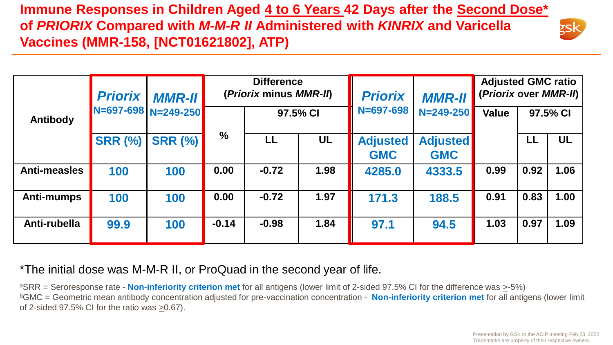### **Immune Responses in Children Aged 4 to 6 Years 42 Days after the Second Dose\* of** *PRIORIX* **Compared with** *M-M-R II* **Administered with** *KINRIX* **and Varicella Vaccines (MMR-158, [NCT01621802], ATP)**



| <b>Priorix</b>      |                | <b>MMR-II</b>       | <b>Difference</b><br>(Priorix minus MMR-II) |          |           | <b>Priorix</b>                | <b>MMR-II</b>                 | <b>Adjusted GMC ratio</b><br>(Priorix over MMR-II) |      |           |
|---------------------|----------------|---------------------|---------------------------------------------|----------|-----------|-------------------------------|-------------------------------|----------------------------------------------------|------|-----------|
| Antibody            |                | N=697-698 N=249-250 |                                             | 97.5% CI |           | $N = 697 - 698$               | $N = 249 - 250$               | <b>Value</b>                                       |      | 97.5% CI  |
|                     | <b>SRR (%)</b> | <b>SRR (%)</b>      | $\%$                                        | LL       | <b>UL</b> | <b>Adjusted</b><br><b>GMC</b> | <b>Adjusted</b><br><b>GMC</b> |                                                    | LL   | <b>UL</b> |
| <b>Anti-measles</b> | 100            | 100                 | 0.00                                        | $-0.72$  | 1.98      | 4285.0                        | 4333.5                        | 0.99                                               | 0.92 | 1.06      |
| <b>Anti-mumps</b>   | 100            | 100                 | 0.00                                        | $-0.72$  | 1.97      | 171.3                         | 188.5                         | 0.91                                               | 0.83 | 1.00      |
| Anti-rubella        | 99.9           | 100                 | $-0.14$                                     | $-0.98$  | 1.84      | 97.1                          | 94.5                          | 1.03                                               | 0.97 | 1.09      |

### \*The initial dose was M-M-R II, or ProQuad in the second year of life.

<sup>a</sup>SRR = Seroresponse rate - **Non-inferiority criterion met** for all antigens (lower limit of 2-sided 97.5% CI for the difference was >-5%) <sup>b</sup>GMC = Geometric mean antibody concentration adjusted for pre-vaccination concentration - **Non-inferiority criterion met** for all antigens (lower limit of 2-sided 97.5% CI for the ratio was >0.67).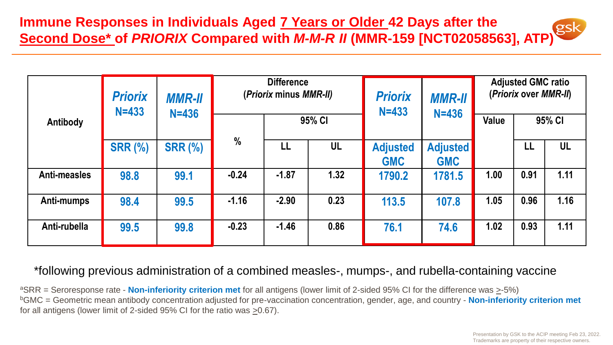**Immune Responses in Individuals Aged 7 Years or Older 42 Days after the Second Dose\* of** *PRIORIX* **Compared with** *M-M-R II* **(MMR-159 [NCT02058563], ATP)**

|              | <b>Priorix</b><br>$N = 433$ | <b>MMR-II</b><br>$N=436$ | <b>Difference</b><br>(Priorix minus MMR-II) |         |      | <b>Priorix</b><br>$N = 433$   | <b>MMR-II</b><br>$N = 436$    | <b>Adjusted GMC ratio</b><br>(Priorix over MMR-II) |      |           |
|--------------|-----------------------------|--------------------------|---------------------------------------------|---------|------|-------------------------------|-------------------------------|----------------------------------------------------|------|-----------|
| Antibody     |                             |                          | 95% CI                                      |         |      |                               | Value                         | 95% CI                                             |      |           |
|              | <b>SRR (%)</b>              | <b>SRR (%)</b>           | $\frac{0}{0}$                               | LL      | UL   | <b>Adjusted</b><br><b>GMC</b> | <b>Adjusted</b><br><b>GMC</b> |                                                    | LL   | <b>UL</b> |
| Anti-measles | 98.8                        | 99.1                     | $-0.24$                                     | $-1.87$ | 1.32 | 1790.2                        | 1781.5                        | 1.00                                               | 0.91 | 1.11      |
| Anti-mumps   | 98.4                        | 99.5                     | $-1.16$                                     | $-2.90$ | 0.23 | 113.5                         | 107.8                         | 1.05                                               | 0.96 | 1.16      |
| Anti-rubella | 99.5                        | 99.8                     | $-0.23$                                     | $-1.46$ | 0.86 | 76.1                          | 74.6                          | 1.02                                               | 0.93 | 1.11      |

#### \*following previous administration of a combined measles-, mumps-, and rubella-containing vaccine

<sup>a</sup>SRR = Seroresponse rate - **Non-inferiority criterion met** for all antigens (lower limit of 2-sided 95% CI for the difference was >-5%) <sup>b</sup>GMC = Geometric mean antibody concentration adjusted for pre-vaccination concentration, gender, age, and country - **Non-inferiority criterion met**  for all antigens (lower limit of 2-sided 95% CI for the ratio was >0.67).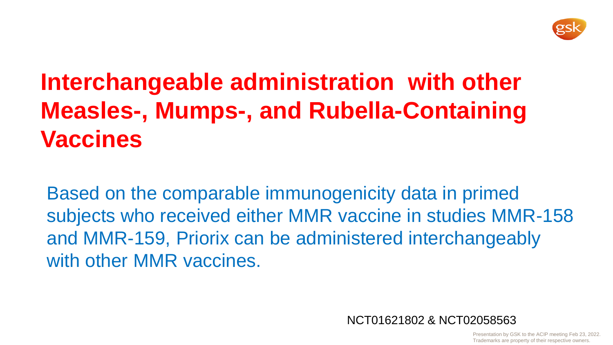

# **Interchangeable administration with other Measles-, Mumps-, and Rubella-Containing Vaccines**

Based on the comparable immunogenicity data in primed subjects who received either MMR vaccine in studies MMR-158 and MMR-159, Priorix can be administered interchangeably with other MMR vaccines.

NCT01621802 & NCT02058563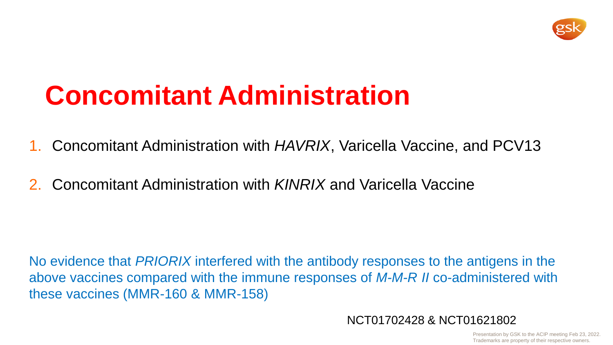

# **Concomitant Administration**

- 1. Concomitant Administration with *HAVRIX*, Varicella Vaccine, and PCV13
- 2. Concomitant Administration with *KINRIX* and Varicella Vaccine

No evidence that *PRIORIX* interfered with the antibody responses to the antigens in the above vaccines compared with the immune responses of *M-M-R II* co-administered with these vaccines (MMR-160 & MMR-158)

NCT01702428 & NCT01621802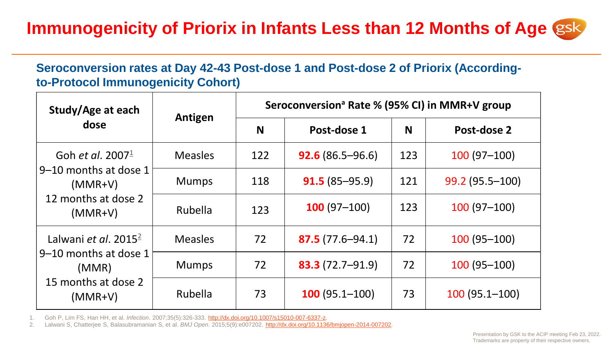## **Immunogenicity of Priorix in Infants Less than 12 Months of Age**

### **Seroconversion rates at Day 42-43 Post-dose 1 and Post-dose 2 of Priorix (Accordingto-Protocol Immunogenicity Cohort)**

| Study/Age at each                                                      | Antigen        | Seroconversion <sup>ª</sup> Rate % (95% CI) in MMR+V group |                     |     |                   |  |  |  |
|------------------------------------------------------------------------|----------------|------------------------------------------------------------|---------------------|-----|-------------------|--|--|--|
| dose                                                                   |                | N                                                          | Post-dose 1         | N   | Post-dose 2       |  |  |  |
| Goh et al. 2007 $\frac{1}{2}$                                          | <b>Measles</b> | 122                                                        | $92.6(86.5-96.6)$   | 123 | $100(97-100)$     |  |  |  |
| 9-10 months at dose 1<br>$(MMR+V)$<br>12 months at dose 2<br>$(MMR+V)$ | <b>Mumps</b>   | 118                                                        | $91.5(85-95.9)$     | 121 | 99.2 (95.5-100)   |  |  |  |
|                                                                        | Rubella        | 123                                                        | $100(97-100)$       | 123 | $100(97-100)$     |  |  |  |
| Lalwani et al. 2015 $^{2}$                                             | <b>Measles</b> | 72                                                         | $87.5(77.6 - 94.1)$ | 72  | $100(95-100)$     |  |  |  |
| 9-10 months at dose 1<br>(MMR)<br>15 months at dose 2<br>$(MMR+V)$     | <b>Mumps</b>   | 72                                                         | $83.3(72.7 - 91.9)$ | 72  | $100(95 - 100)$   |  |  |  |
|                                                                        | Rubella        | 73                                                         | $100(95.1-100)$     | 73  | $100(95.1 - 100)$ |  |  |  |

1. Goh P, Lim FS, Han HH, et al. *Infection*. 2007;35(5):326-333. [http://dx.doi.org/10.1007/s15010-007-6337-z.](http://dx.doi.org/10.1007/s15010-007-6337-z)

2. Lalwani S, Chatterjee S, Balasubramanian S, et al. *BMJ Open*. 2015;5(9):e007202. [http://dx.doi.org/10.1136/bmjopen-2014-007202.](http://dx.doi.org/10.1136/bmjopen-2014-007202)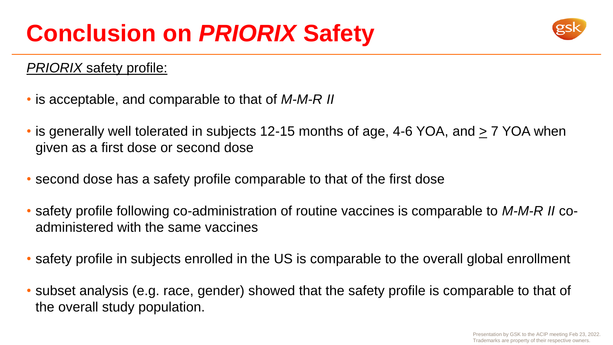

### *PRIORIX* safety profile:

- is acceptable, and comparable to that of *M-M-R II*
- is generally well tolerated in subjects 12-15 months of age, 4-6 YOA, and  $\geq 7$  YOA when given as a first dose or second dose
- second dose has a safety profile comparable to that of the first dose
- safety profile following co-administration of routine vaccines is comparable to *M-M-R II* coadministered with the same vaccines
- safety profile in subjects enrolled in the US is comparable to the overall global enrollment
- subset analysis (e.g. race, gender) showed that the safety profile is comparable to that of the overall study population.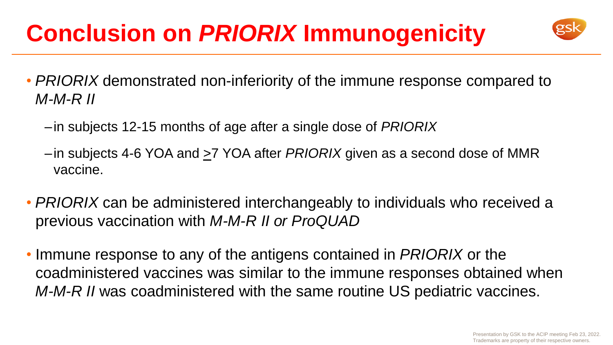# **Conclusion on** *PRIORIX* **Immunogenicity**



- *PRIORIX* demonstrated non-inferiority of the immune response compared to *M-M-R II* 
	- –in subjects 12-15 months of age after a single dose of *PRIORIX*
	- –in subjects 4-6 YOA and >7 YOA after *PRIORIX* given as a second dose of MMR vaccine.
- *PRIORIX* can be administered interchangeably to individuals who received a previous vaccination with *M-M-R II or ProQUAD*
- Immune response to any of the antigens contained in *PRIORIX* or the coadministered vaccines was similar to the immune responses obtained when *M-M-R II* was coadministered with the same routine US pediatric vaccines.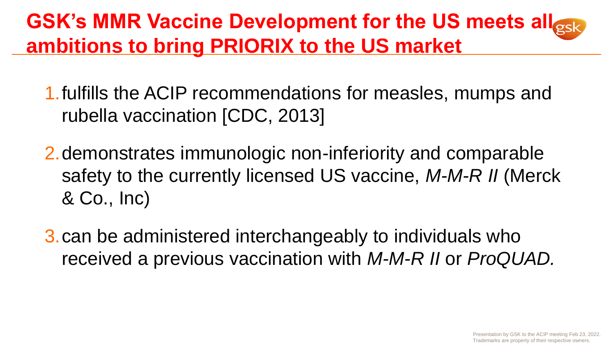## **GSK's MMR Vaccine Development for the US meets all Resk ambitions to bring PRIORIX to the US market**

- 1.fulfills the ACIP recommendations for measles, mumps and rubella vaccination [CDC, 2013]
- 2.demonstrates immunologic non-inferiority and comparable safety to the currently licensed US vaccine, *M-M-R II* (Merck & Co., Inc)
- 3.can be administered interchangeably to individuals who received a previous vaccination with *M-M-R II* or *ProQUAD.*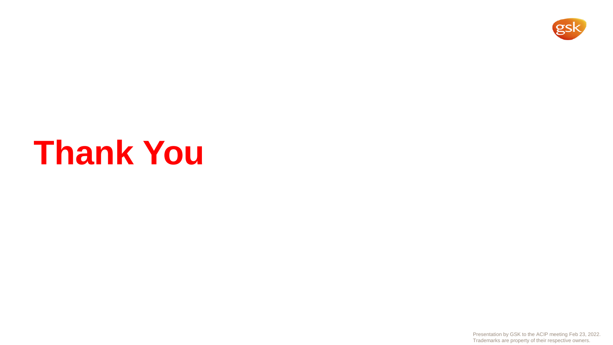

# **Thank You**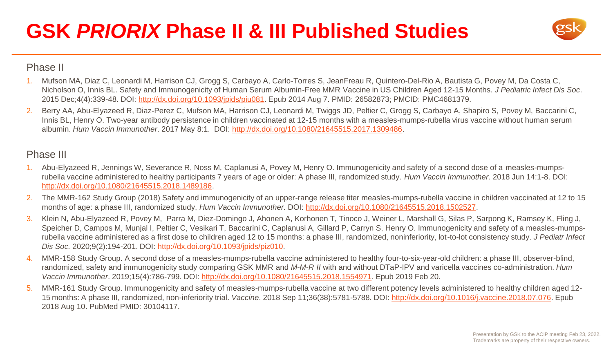## **GSK** *PRIORIX* **Phase II & III Published Studies**



#### Phase II

- 1. Mufson MA, Diaz C, Leonardi M, Harrison CJ, Grogg S, Carbayo A, Carlo-Torres S, JeanFreau R, Quintero-Del-Rio A, Bautista G, Povey M, Da Costa C, Nicholson O, Innis BL. Safety and Immunogenicity of Human Serum Albumin-Free MMR Vaccine in US Children Aged 12-15 Months. *J Pediatric Infect Dis Soc*. 2015 Dec;4(4):339-48. DOI: [http://dx.doi.org/10.1093/jpids/piu081.](http://dx.doi.org/10.1093/jpids/piu081) Epub 2014 Aug 7. PMID: 26582873; PMCID: PMC4681379.
- 2. Berry AA, Abu-Elyazeed R, Diaz-Perez C, Mufson MA, Harrison CJ, Leonardi M, Twiggs JD, Peltier C, Grogg S, Carbayo A, Shapiro S, Povey M, Baccarini C, Innis BL, Henry O. Two-year antibody persistence in children vaccinated at 12-15 months with a measles-mumps-rubella virus vaccine without human serum albumin. *Hum Vaccin Immunother*. 2017 May 8:1. DOI: [http://dx.doi.org/10.1080/21645515.2017.1309486.](http://dx.doi.org/10.1080/21645515.2017.1309486)

#### Phase III

- 1. Abu-Elyazeed R, Jennings W, Severance R, Noss M, Caplanusi A, Povey M, Henry O. Immunogenicity and safety of a second dose of a measles-mumpsrubella vaccine administered to healthy participants 7 years of age or older: A phase III, randomized study. *Hum Vaccin Immunother*. 2018 Jun 14:1-8. DOI: <http://dx.doi.org/10.1080/21645515.2018.1489186>.
- 2. The MMR-162 Study Group (2018) Safety and immunogenicity of an upper-range release titer measles-mumps-rubella vaccine in children vaccinated at 12 to 15 months of age: a phase III, randomized study, *Hum Vaccin Immunother.* DOI:<http://dx.doi.org/10.1080/21645515.2018.1502527>.
- 3. Klein N, Abu-Elyazeed R, Povey M, Parra M, Diez-Domingo J, Ahonen A, Korhonen T, Tinoco J, Weiner L, Marshall G, Silas P, Sarpong K, Ramsey K, Fling J, Speicher D, Campos M, Munjal I, Peltier C, Vesikari T, Baccarini C, Caplanusi A, Gillard P, Carryn S, Henry O. Immunogenicity and safety of a measles-mumpsrubella vaccine administered as a first dose to children aged 12 to 15 months: a phase III, randomized, noninferiority, lot-to-lot consistency study. *J Pediatr Infect Dis Soc.* 2020;9(2):194-201. DOI: [http://dx.doi.org/10.1093/jpids/piz010.](http://dx.doi.org/10.1093/jpids/piz010)
- 4. MMR-158 Study Group. A second dose of a measles-mumps-rubella vaccine administered to healthy four-to-six-year-old children: a phase III, observer-blind, randomized, safety and immunogenicity study comparing GSK MMR and *M-M-R II* with and without DTaP-IPV and varicella vaccines co-administration. *Hum Vaccin Immunother*. 2019;15(4):786-799. DOI: [http://dx.doi.org/10.1080/21645515.2018.1554971.](http://dx.doi.org/10.1080/21645515.2018.1554971) Epub 2019 Feb 20.
- 5. MMR-161 Study Group. Immunogenicity and safety of measles-mumps-rubella vaccine at two different potency levels administered to healthy children aged 12- 15 months: A phase III, randomized, non-inferiority trial. *Vaccine*. 2018 Sep 11;36(38):5781-5788. DOI: <http://dx.doi.org/10.1016/j.vaccine.2018.07.076>. Epub 2018 Aug 10. PubMed PMID: 30104117.